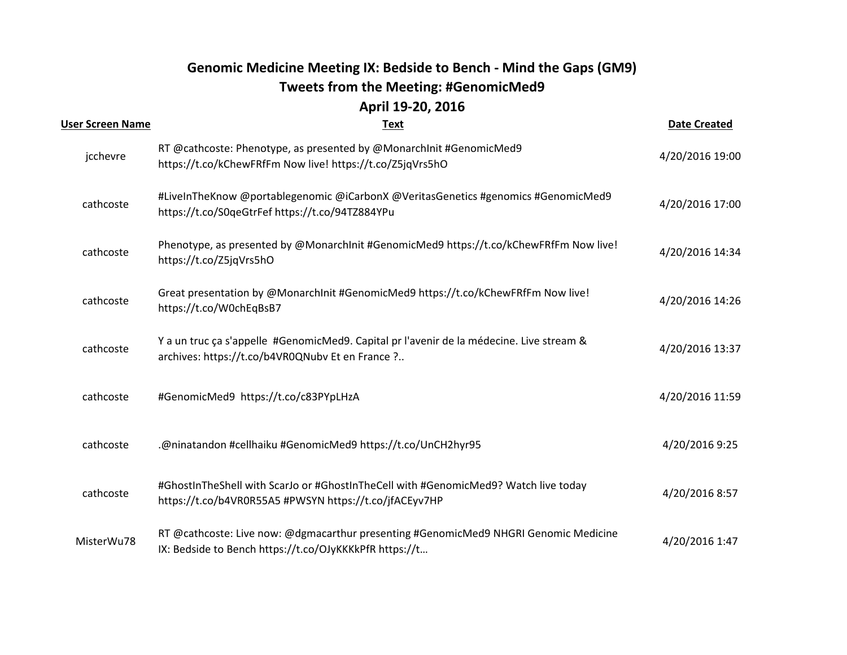## **Genomic Medicine Meeting IX: Bedside to Bench - Mind the Gaps (GM9) Tweets from the Meeting: #GenomicMed9 April 19-20, 2016**

| <b>User Screen Name</b> | <b>Text</b>                                                                                                                                    | <b>Date Created</b> |
|-------------------------|------------------------------------------------------------------------------------------------------------------------------------------------|---------------------|
| jcchevre                | RT @cathcoste: Phenotype, as presented by @MonarchInit #GenomicMed9<br>https://t.co/kChewFRfFm Now live! https://t.co/Z5jqVrs5hO               | 4/20/2016 19:00     |
| cathcoste               | #LiveInTheKnow @portablegenomic @iCarbonX @VeritasGenetics #genomics #GenomicMed9<br>https://t.co/S0qeGtrFef https://t.co/94TZ884YPu           | 4/20/2016 17:00     |
| cathcoste               | Phenotype, as presented by @MonarchInit #GenomicMed9 https://t.co/kChewFRfFm Now live!<br>https://t.co/Z5jqVrs5hO                              | 4/20/2016 14:34     |
| cathcoste               | Great presentation by @MonarchInit #GenomicMed9 https://t.co/kChewFRfFm Now live!<br>https://t.co/W0chEqBsB7                                   | 4/20/2016 14:26     |
| cathcoste               | Y a un truc ça s'appelle #GenomicMed9. Capital pr l'avenir de la médecine. Live stream &<br>archives: https://t.co/b4VR0QNubv Et en France ?   | 4/20/2016 13:37     |
| cathcoste               | #GenomicMed9 https://t.co/c83PYpLHzA                                                                                                           | 4/20/2016 11:59     |
| cathcoste               | .@ninatandon #cellhaiku #GenomicMed9 https://t.co/UnCH2hyr95                                                                                   | 4/20/2016 9:25      |
| cathcoste               | #GhostInTheShell with ScarJo or #GhostInTheCell with #GenomicMed9? Watch live today<br>https://t.co/b4VR0R55A5 #PWSYN https://t.co/jfACEyv7HP  | 4/20/2016 8:57      |
| MisterWu78              | RT @cathcoste: Live now: @dgmacarthur presenting #GenomicMed9 NHGRI Genomic Medicine<br>IX: Bedside to Bench https://t.co/OJyKKKkPfR https://t | 4/20/2016 1:47      |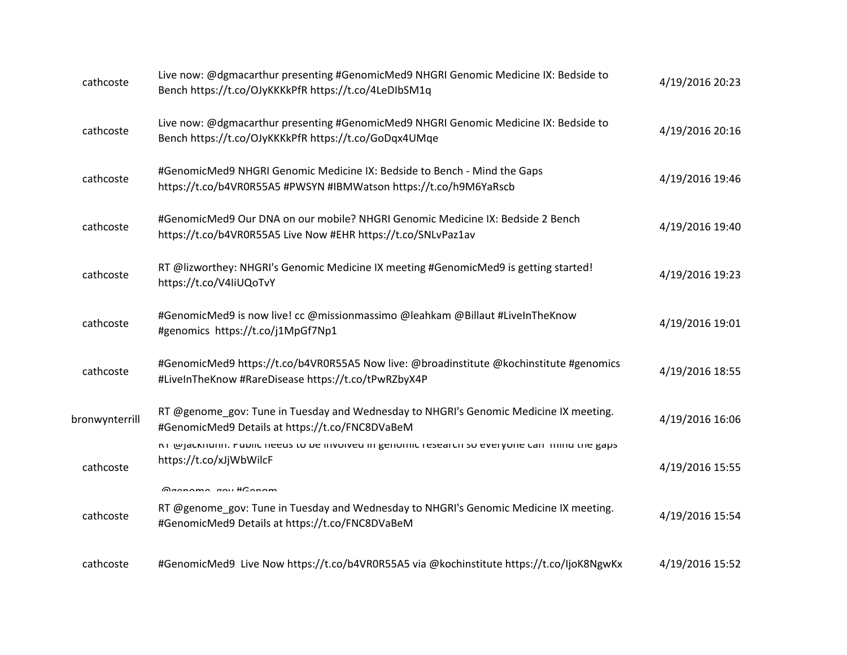| cathcoste      | Live now: @dgmacarthur presenting #GenomicMed9 NHGRI Genomic Medicine IX: Bedside to<br>Bench https://t.co/OJyKKKkPfR https://t.co/4LeDIbSM1q                  | 4/19/2016 20:23 |
|----------------|----------------------------------------------------------------------------------------------------------------------------------------------------------------|-----------------|
| cathcoste      | Live now: @dgmacarthur presenting #GenomicMed9 NHGRI Genomic Medicine IX: Bedside to<br>Bench https://t.co/OJyKKKkPfR https://t.co/GoDqx4UMqe                  | 4/19/2016 20:16 |
| cathcoste      | #GenomicMed9 NHGRI Genomic Medicine IX: Bedside to Bench - Mind the Gaps<br>https://t.co/b4VR0R55A5 #PWSYN #IBMWatson https://t.co/h9M6YaRscb                  | 4/19/2016 19:46 |
| cathcoste      | #GenomicMed9 Our DNA on our mobile? NHGRI Genomic Medicine IX: Bedside 2 Bench<br>https://t.co/b4VR0R55A5 Live Now #EHR https://t.co/SNLvPaz1av                | 4/19/2016 19:40 |
| cathcoste      | RT @lizworthey: NHGRI's Genomic Medicine IX meeting #GenomicMed9 is getting started!<br>https://t.co/V4IiUQoTvY                                                | 4/19/2016 19:23 |
| cathcoste      | #GenomicMed9 is now live! cc @missionmassimo @leahkam @Billaut #LiveInTheKnow<br>#genomics https://t.co/j1MpGf7Np1                                             | 4/19/2016 19:01 |
| cathcoste      | #GenomicMed9 https://t.co/b4VR0R55A5 Now live: @broadinstitute @kochinstitute #genomics<br>#LiveInTheKnow #RareDisease https://t.co/tPwRZbyX4P                 | 4/19/2016 18:55 |
| bronwynterrill | RT @genome_gov: Tune in Tuesday and Wednesday to NHGRI's Genomic Medicine IX meeting.<br>#GenomicMed9 Details at https://t.co/FNC8DVaBeM                       | 4/19/2016 16:06 |
| cathcoste      | K) @Jacknunn: Public needs to be involved in genomic research so everyone can imind the gaps<br>https://t.co/xJjWbWilcF                                        | 4/19/2016 15:55 |
| cathcoste      | Mannama any #Canam<br>RT @genome_gov: Tune in Tuesday and Wednesday to NHGRI's Genomic Medicine IX meeting.<br>#GenomicMed9 Details at https://t.co/FNC8DVaBeM | 4/19/2016 15:54 |
| cathcoste      | #GenomicMed9 Live Now https://t.co/b4VR0R55A5 via @kochinstitute https://t.co/ljoK8NgwKx                                                                       | 4/19/2016 15:52 |